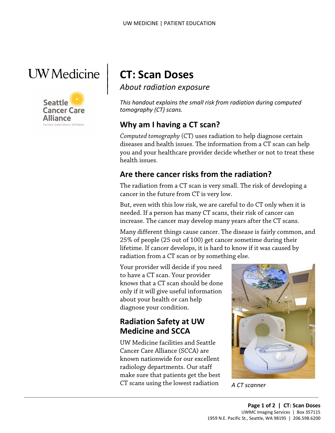



 $\vert$ 

# **CT: Scan Doses**

*About radiation exposure*

*This handout explains the small risk from radiation during computed tomography (CT) scans.*

### **Why am I having a CT scan?**

*Computed tomography* (CT) uses radiation to help diagnose certain diseases and health issues. The information from a CT scan can help you and your healthcare provider decide whether or not to treat these health issues.

### **Are there cancer risks from the radiation?**

The radiation from a CT scan is very small. The risk of developing a cancer in the future from CT is very low.

But, even with this low risk, we are careful to do CT only when it is needed. If a person has many CT scans, their risk of cancer can increase. The cancer may develop many years after the CT scans.

Many different things cause cancer. The disease is fairly common, and 25% of people (25 out of 100) get cancer sometime during their lifetime. If cancer develops, it is hard to know if it was caused by radiation from a CT scan or by something else.

Your provider will decide if you need to have a CT scan. Your provider knows that a CT scan should be done only if it will give useful information about your health or can help diagnose your condition.

### **Radiation Safety at UW Medicine and SCCA**

UW Medicine facilities and Seattle Cancer Care Alliance (SCCA) are known nationwide for our excellent radiology departments. Our staff make sure that patients get the best CT scans using the lowest radiation *A CT scanner* 

 $\_$  ,  $\_$  ,  $\_$  ,  $\_$  ,  $\_$  ,  $\_$  ,  $\_$  ,  $\_$  ,  $\_$  ,  $\_$  ,  $\_$  ,  $\_$  ,  $\_$  ,  $\_$  ,  $\_$  ,  $\_$  ,  $\_$  ,  $\_$  ,  $\_$  ,  $\_$  ,  $\_$  ,  $\_$  ,  $\_$  ,  $\_$  ,  $\_$  ,  $\_$  ,  $\_$  ,  $\_$  ,  $\_$  ,  $\_$  ,  $\_$  ,  $\_$  ,  $\_$  ,  $\_$  ,  $\_$  ,  $\_$  ,  $\_$  ,